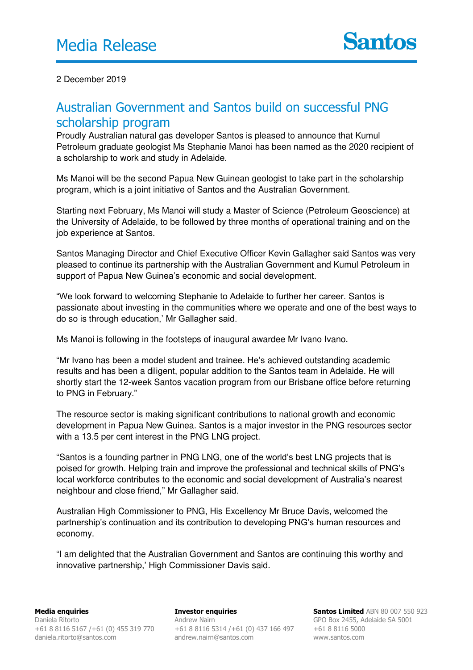2 December 2019

## Australian Government and Santos build on successful PNG scholarship program

Proudly Australian natural gas developer Santos is pleased to announce that Kumul Petroleum graduate geologist Ms Stephanie Manoi has been named as the 2020 recipient of a scholarship to work and study in Adelaide.

Ms Manoi will be the second Papua New Guinean geologist to take part in the scholarship program, which is a joint initiative of Santos and the Australian Government.

Starting next February, Ms Manoi will study a Master of Science (Petroleum Geoscience) at the University of Adelaide, to be followed by three months of operational training and on the job experience at Santos.

Santos Managing Director and Chief Executive Officer Kevin Gallagher said Santos was very pleased to continue its partnership with the Australian Government and Kumul Petroleum in support of Papua New Guinea's economic and social development.

"We look forward to welcoming Stephanie to Adelaide to further her career. Santos is passionate about investing in the communities where we operate and one of the best ways to do so is through education,' Mr Gallagher said.

Ms Manoi is following in the footsteps of inaugural awardee Mr Ivano Ivano.

"Mr Ivano has been a model student and trainee. He's achieved outstanding academic results and has been a diligent, popular addition to the Santos team in Adelaide. He will shortly start the 12-week Santos vacation program from our Brisbane office before returning to PNG in February."

The resource sector is making significant contributions to national growth and economic development in Papua New Guinea. Santos is a major investor in the PNG resources sector with a 13.5 per cent interest in the PNG LNG project.

"Santos is a founding partner in PNG LNG, one of the world's best LNG projects that is poised for growth. Helping train and improve the professional and technical skills of PNG's local workforce contributes to the economic and social development of Australia's nearest neighbour and close friend," Mr Gallagher said.

Australian High Commissioner to PNG, His Excellency Mr Bruce Davis, welcomed the partnership's continuation and its contribution to developing PNG's human resources and economy.

"I am delighted that the Australian Government and Santos are continuing this worthy and innovative partnership,' High Commissioner Davis said.

**Investor enquiries**  Andrew Nairn +61 8 8116 5314 /+61 (0) 437 166 497 andrew.nairn@santos.com

**Santos Limited** ABN 80 007 550 923 GPO Box 2455, Adelaide SA 5001 +61 8 8116 5000 www.santos.com